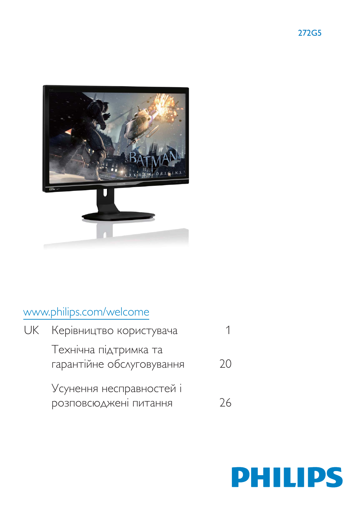

# www.philips.com/welcome

| <b>UK</b> Керівництво користувача                  |     |
|----------------------------------------------------|-----|
| Технічна підтримка та<br>гарантійне обслуговування | 7() |
| Усунення несправностей і<br>розповсюджені питання  | 26  |

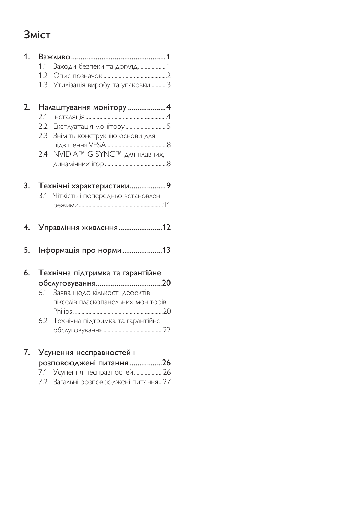# **Зміст**

| 1. |               |                                                              |
|----|---------------|--------------------------------------------------------------|
|    | 1.1           |                                                              |
|    |               |                                                              |
|    | 1.3           | Утилізація виробу та упаковки3                               |
| 2. |               | Налаштування монітору 4                                      |
|    | 2.1           |                                                              |
|    | $2.2^{\circ}$ |                                                              |
|    | 2.3           | Зніміть конструкцію основи для                               |
|    |               |                                                              |
|    | 2.4           | NVIDIA™ G-SYNC™ для плавних,                                 |
|    |               |                                                              |
| 3. |               | Технічні характеристики9                                     |
|    | 3.1           | Чіткість і попередньо встановлені                            |
|    |               |                                                              |
|    |               |                                                              |
| 4. |               | Управління живлення12                                        |
| 5. |               | Інформація про норми13                                       |
| 6. |               |                                                              |
|    |               | Технічна підтримка та гарантійне                             |
|    |               | 6.1 Заява щодо кількості дефектів                            |
|    |               | пікселів пласкопанельних моніторів                           |
|    |               |                                                              |
|    |               | 6.2 Технічна підтримка та гарантійне                         |
|    |               |                                                              |
| 7. |               | Усунення несправностей і                                     |
|    |               | розповсюджені питання 26                                     |
|    | 7.1<br>7.2    | Усунення несправностей26<br>Загальні розповсюджені питання27 |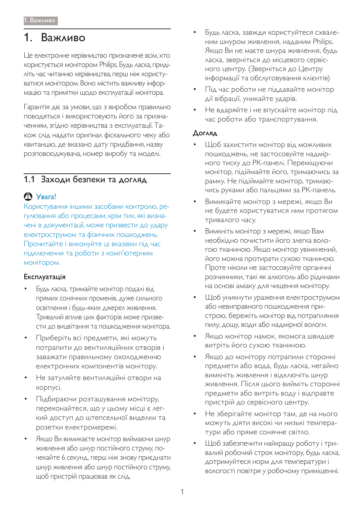# 1. Важливо

Це електронне керівництво призначене всім, хто користується монітором Philips. Будь ласка, приділіть час читанню керівництва, перш ніж користуватися монітором. Воно містить важливу інформацію та примітки щодо експлуатації монітора.

Гарантія діє за умови, що з виробом правильно поводяться і використовують його за призначенням, згідно керівництва з експлуатації. Також слід надати оригінал фіскального чеку або квитанцію, де вказано дату придбання, назву розповсюджувача, номер виробу та моделі.

# 1.1 Заходи безпеки та догляд

# t **S**yBara!

Користування іншими засобами контролю, регулювання або процесами, крім тих, які визначені в документації, може призвести до удару електрострумом та фізичних пошкоджень. Прочитайте і виконуйте ці вказівки під час підключення та роботи з комп'ютерним монітором.

## Експлуатація

- Будь ласка, тримайте монітор подалі від прямих сонячних променів, дуже сильного освітлення і будь-яких джерел живлення. Тривалий вплив цих факторів може призвести до вицвітання та пошкодження монітора.
- Приберіть всі предмети, які можуть потрапити до вентиляційних отворів і заважати правильному охолодженню електронних компонентів монітору.
- Не затуляйте вентиляційні отвори на корпусі.
- Підбираючи розташування монітору, переконайтеся, що у цьому місці є легкий доступ до штепсельної виделки та розетки електромережі.
- Якщо Ви вимикаєте монітор виймаючи шнур живлення або шнур постійного струму, почекайте 6 секунд, перш ніж знову приєднати шнур живлення або шнур постійного струму, щоб пристрій працював як слід.
- Будь ласка, завжди користуйтеся схваленим шнуром живлення, наданим Philips. Якщо Ви не маєте шнура живлення, будь ∧аска, зверніться до місцевого сервісного центру. (Зверніться до Центру інформації та обслуговування клієнтів)
- Під час роботи не піддавайте монітор дії вібрації, уникайте ударів.
- Не вдаряйте і не впускайте монітор під час роботи або транспортування.

## Догляд

- Щоб захистити монітор від можливих пошкоджень, не застосовуйте надмірного тиску до РК-панелі. Переміщуючи монітор, підіймайте його, тримаючись за рамку. Не підіймайте монітор, тримаючись руками або пальцями за РК-панель.
- Вимикайте монітор з мережі, якщо Ви не будете користуватися ним протягом тривалого часу.
- Вимкніть монітор з мережі, якщо Вам необхідно почистити його злегка вологою тканиною. Якщо монітор увімкнений, його можна протирати сухою тканиною. Проте ніколи не застосовуйте органічні розчинники, такі як алкоголь або рідинами на основі аміаку для чищення монітору.
- Щоб уникнути ураження електрострумом або невиправного пошкодження пристрою, бережіть монітор від потрапляння пилу, дощу, води або надмірної вологи.
- Якщо монітор намок, якомога швидше витріть його сухою тканиною.
- Якщо до монітору потрапили сторонні предмети або вода, будь ласка, негайно ВИМКНІТЬ ЖИВЛЕННЯ І ВІДКЛЮЧІТЬ ШНУР живлення. Після цього вийміть сторонні предмети або витріть воду і відправте пристрій до сервісного центру.
- Не зберігайте монітор там, де на нього можуть діяти високі чи низькі температури або пряме сонячне світло.
- Щоб забезпечити найкращу роботу і тривалий робочий строк монітору, будь ласка, дотримуйтеся норм для температури і вологості повітря у робочому приміщенні: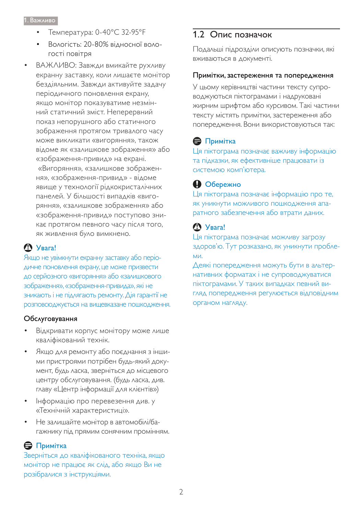- Температура: 0-40°С 32-95°F
- Вологість: 20-80% відносної вологості повітря
- ВАЖЛИВО: Завжди вмикайте рухливу екранну заставку, коли лишаєте монітор бездіяльним. Завжди активуйте задачу періодичного поновлення екрану, якщо монітор показуватиме незмінний статичний зміст. Неперервний показ непорушного або статичного зображення протягом тривалого часу може викликати «вигоряння», також відоме як «залишкове зображення» або «зображення-привид» на екрані. «Вигоряння», «залишкове зображення», «зображення-привид» - відоме явище у технології рідкокристалічних панелей. У більшості випадків «вигоряння», «залишкове зображення» або «зображення-привид» поступово зникає протягом певного часу після того, як живлення було вимкнено.

## *Δ Y*<sub>Bara!</sub>

Якщо не увімкнути екранну заставку або періо-ДИЧНЕ ПОНОВЛЕННЯ ЕКРАНУ, ЦЕ МОЖЕ ПРИЗВЕСТИ до серйозного «вигоряння» або «залишкового зображення», «зображення-привида», які не зникають і не підлягають ремонту. Дія гарантії не розповсюджується на вищевказане пошкодження.

## Обслуговування

- Відкривати корпус монітору може лише кваліфікований технік.
- Якщо для ремонту або поєднання з іншими пристроями потрібен будь-який документ, будь ласка, зверніться до місцевого центру обслуговування. (будь ласка, див. главу «Центр інформації для клієнтів»)
- Інформацію про перевезення див. у «Технічній характеристиці».
- Не залишайте монітор в автомобілі/багажнику під прямим сонячним промінням.

## $\bigoplus$  Примітка

Зверніться до кваліфікованого техніка, якщо монітор не працює як слід, або якщо Ви не розібралися з інструкціями.

# 1.2 Опис позначок

Подальші підрозділи описують позначки, які вживаються в документі.

#### Примітки, застереження та попередження

У цьому керівництві частини тексту супроводжуються піктограмами і надруковані жирним шрифтом або курсивом. Такі частини тексту містять примітки, застереження або попередження. Вони використовуються так:

# $\bigoplus$  Примітка

Ця піктограма позначає важливу інформацію та підказки, як ефективніше працювати із системою комп'ютера.

# **• Обережно**

Ця піктограма позначає інформацію про те, як уникнути можливого пошкодження апаратного забезпечення або втрати даних.

# **S** YBara!

Ця піктограма позначає можливу загрозу здоров'ю. Тут розказано, як уникнути пробле-MИ,

Деякі попередження можуть бути в альтернативних форматах і не супроводжуватися піктограмами. У таких випадках певний вигляд попередження регулюється відповідним органом нагляду.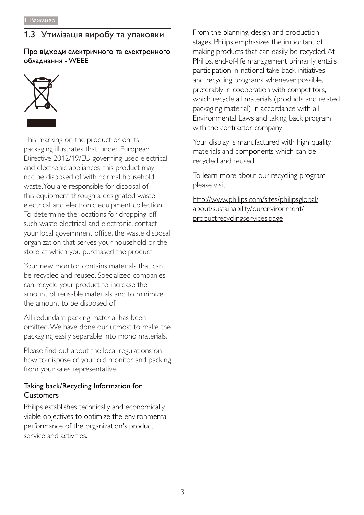# 1.3 Утилізація виробу та упаковки

Про відходи електричного та електронного обладнання - WEEE



This marking on the product or on its packaging illustrates that, under European Directive 2012/19/EU governing used electrical and electronic appliances, this product may not be disposed of with normal household waste. You are responsible for disposal of this equipment through a designated waste electrical and electronic equipment collection. To determine the locations for dropping off such waste electrical and electronic, contact your local government office, the waste disposal organization that serves your household or the store at which you purchased the product.

Your new monitor contains materials that can be recycled and reused. Specialized companies can recycle your product to increase the amount of reusable materials and to minimize the amount to be disposed of.

All redundant packing material has been omitted. We have done our utmost to make the packaging easily separable into mono materials.

Please find out about the local regulations on how to dispose of your old monitor and packing from your sales representative.

## Taking back/Recycling Information for **Customers**

Philips establishes technically and economically viable objectives to optimize the environmental performance of the organization's product, service and activities.

From the planning, design and production stages, Philips emphasizes the important of making products that can easily be recycled. At Philips, end-of-life management primarily entails participation in national take-back initiatives and recycling programs whenever possible, preferably in cooperation with competitors, which recycle all materials (products and related packaging material) in accordance with all Environmental Laws and taking back program with the contractor company.

Your display is manufactured with high quality materials and components which can be recycled and reused.

To learn more about our recycling program please visit

http://www.philips.com/sites/philipsglobal/ about/sustainability/ourenvironment/ productrecyclingservices.page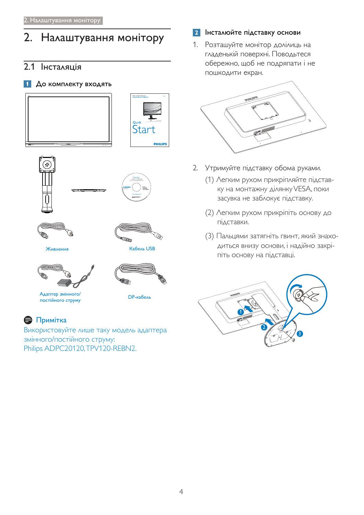# 2. Налаштування монітору

# 2.1 Інсталяція

## 1 До комплекту входять











Живлення Кабель USB





ǼǻǾǿȒǶǺǻǰǻǾǿǽȀǹȀ '3ǷǭǮDzǸȉ

# $\bigoplus$  Примітка

Використовуйте лише таку модель адаптера змінного/постійного струму: Philips ADPC20120, TPV120-REBN2.

## **2** Інсталюйте підставку основи

1. Розташуйте монітор долілиць на гладенькій поверхні. Поводьтеся обережно, щоб не подряпати і не пошкодити екран.



- 2. Утримуйте підставку обома руками.
	- (1) Легким рухом прикріпляйте підставку на монтажну ділянку VESA, поки засувка не заблокує підставку.
	- (2) Легким рухом прикріпіть основу до підставки.
	- (3) Пальцями затягніть гвинт, який знаходиться внизу основи, і надійно закріпіть основу на підставці.

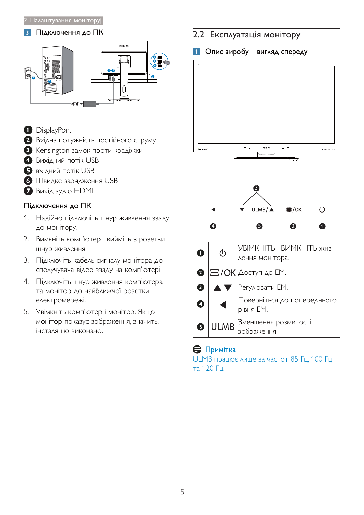### **3** Підключення до ПК



- <sup>1</sup>DisplayPort
- **<sup>2</sup>** Вхідна потужність постійного струму
- **3** Kensington замок проти крадіжки
- **4** Вихідний потік USB
- **S** вхідний потік USB
- 6 Швидке зарядження USB
- **7** Buxig aygio HDMI

## Підключення до ПК

- 1. Надійно підключіть шнур живлення ззаду до монітору.
- 2. Вимкніть комп'ютер і вийміть з розетки шнур живлення.
- 3. Підключіть кабель сигналу монітора до сполучувача відео ззаду на комп'ютері.
- 4. Підключіть шнур живлення комп'ютера та монітор до найближчої розетки електромережі.
- 5. Увімкніть комп'ютер і монітор. Якщо монітор показує зображення, значить, інсталяцію виконано.

# 2.2 Експлуатація монітору

### 1 Опис виробу - вигляд спереду





| O           | $\mathcal{L}$ | УВІМКНІТЬ і ВИМКНІТЬ жив-<br>лення монітора.        |
|-------------|---------------|-----------------------------------------------------|
|             |               | $\bullet$ $\blacksquare$ / OK $\Delta$ оступ до ЕМ. |
| $\boxed{3}$ | <b>AV</b>     | Регулювати ЕМ.                                      |
| 0           |               | Поверніться до попереднього<br>рівня ЕМ.            |
| ❺           | <b>ULMB</b>   | Зменшення розмитості<br>аження.                     |

## $\bigoplus$  Примітка

ULMB працює лише за частот 85 Гц, 100 Гц та 120 Гц.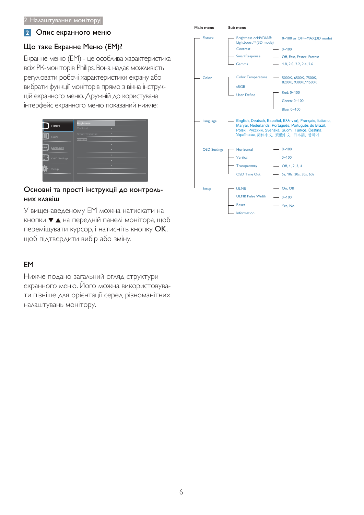#### 2 Опис екранного меню

## Що таке Екранне Меню (EM)?

Екранне меню (EM) - це особлива характеристика всіх РК-моніторів Philips. Вона надає можливість регулювати робочі характеристики екрану або вибрати функції моніторів прямо з вікна інструкцій екранного меню. Дружній до користувача інтерфейс екранного меню показаний нижче:

|                     | <b>Brightness</b> |   |
|---------------------|-------------------|---|
| Picture             | Contrast          | × |
|                     | SmartResponse     | ö |
| Color               | Gamma             | ٠ |
| œ                   |                   | ö |
| Language            |                   | ۰ |
|                     |                   | ٠ |
| <b>OSD Settings</b> |                   | ö |
|                     |                   | ö |
| Setup               |                   | ۰ |
|                     |                   |   |

### Основні та прості інструкції до контрольних клавіш

У вищенаведеному ЕМ можна натискати на кнопки ▼ ▲ на передній панелі монітора, щоб переміщувати курсор, і натисніть кнопку ОК, щоб підтвердити вибір або зміну.

## **EM**

Нижче подано загальний огляд структури екранного меню. Його можна використовувати пізніше для орієнтації серед різноманітних налаштувань монітору.

| Main menu           | Sub menu                                      |                                                                                                                                                                                                            |
|---------------------|-----------------------------------------------|------------------------------------------------------------------------------------------------------------------------------------------------------------------------------------------------------------|
| <b>Picture</b>      | - Brightness orNVDIA®<br>Lightboost™(3D mode) | 0~100 or OFF~MAX(3D mode)                                                                                                                                                                                  |
|                     | Contrast                                      | $- 0 - 100$                                                                                                                                                                                                |
|                     | SmartResponse                                 | - Off, Fast, Faster, Fastest                                                                                                                                                                               |
|                     | Gamma                                         | $-$ 1.8, 2.0, 2.2, 2.4, 2.6                                                                                                                                                                                |
| Color               | <b>Color Temperature</b><br>sRGB              | - 5000K, 6500K, 7500K,<br>8200K, 9300K, 11500K                                                                                                                                                             |
|                     | <b>User Define</b>                            | Red: 0~100                                                                                                                                                                                                 |
|                     |                                               | Green: 0~100                                                                                                                                                                                               |
|                     |                                               | Blue: 0~100                                                                                                                                                                                                |
| Language            |                                               | - English, Deutsch, Español, Ελληνική, Français, Italiano,<br>Maryar, Nederlands, Português, Português do Brazil,<br>Polski, Русский, Svenska, Suomi, Türkçe, Čeština,<br>Українська, 简体中文, 繁體中文, 日本語, 한국어 |
| <b>OSD Settings</b> | Horizontal                                    | $- 0 - 100$                                                                                                                                                                                                |
|                     | Vertical                                      | $- 0 - 100$                                                                                                                                                                                                |
|                     | Transparency                                  | $-$ Off, 1, 2, 3, 4                                                                                                                                                                                        |
|                     | <b>OSD Time Out</b>                           | - 5s, 10s, 20s, 30s, 60s                                                                                                                                                                                   |
|                     |                                               |                                                                                                                                                                                                            |
| Setup               | - ULMB                                        | $-$ On, Off                                                                                                                                                                                                |
|                     | <b>ULMB Pulse Width</b>                       | $-0 - 100$                                                                                                                                                                                                 |
|                     | Reset                                         | Yes, No                                                                                                                                                                                                    |
|                     | Information                                   |                                                                                                                                                                                                            |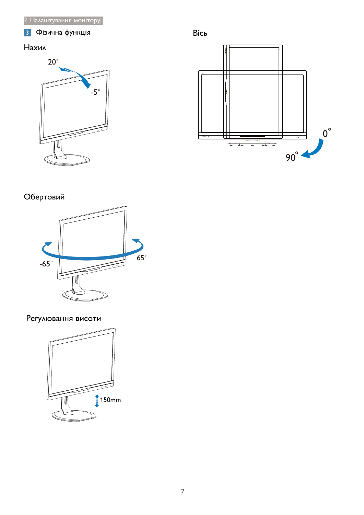# В Фізична функція

# $\sf{Haxun}$





# Обертовий



# Регулювання висоти

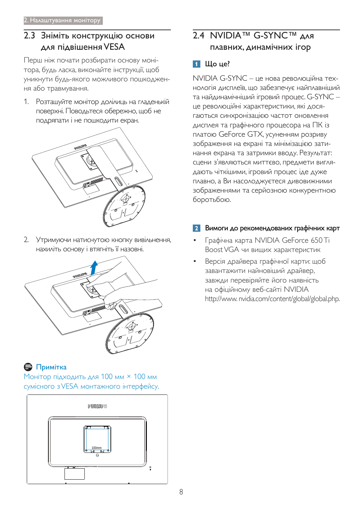# 2.3 Зніміть конструкцію основи для підвішення VESA

Перш ніж почати розбирати основу монітора, будь ласка, виконайте інструкції, щоб уникнути будь-якого можливого пошкодження або травмування.

1. Розташуйте монітор долілиць на гладенькій поверхні. Поводьтеся обережно, щоб не подряпати і не пошкодити екран.



2. Утримуючи натиснутою кнопку вивільнення, нахиліть основу і втягніть її назовні.



# **Э** Примітка

Монітор підходить для 100 мм × 100 мм сумісного з VESA монтажного інтерфейсу.



# 2.4 NVIDIA™ G-SYNC™ AAR плавних, динамічних ігор

# $\blacksquare$  Шо це?

NVIDIA G-SYNC - це нова революційна технологія дисплеїв, що забезпечує найплавніший та найдинамічніший ігровий процес. G-SYNC це революційні характеристики, які досягаються синхронізацією частот оновлення дисплея та графічного процесора на ПК із платою GeForce GTX, усуненням розриву зображення на екрані та мінімізацією затинання екрана та затримки вводу. Результат: СЦени з'являються миттєво, предмети виглядають чіткішими, ігровий процес іде дуже плавно, а Ви насолоджуєтеся дивовижними зображеннями та серйозною конкурентною боротьбою.

## Вимоги до рекомендованих графічних карт

- Графічна карта NVIDIA GeForce 650 Ti Boost VGA чи вищих характеристик
- Версія драйвера графічної карти: щоб завантажити найновіший драйвер, завжди перевіряйте його наявність на офіційному веб-сайті NVIDIA http://www.nvidia.com/content/global/global.php.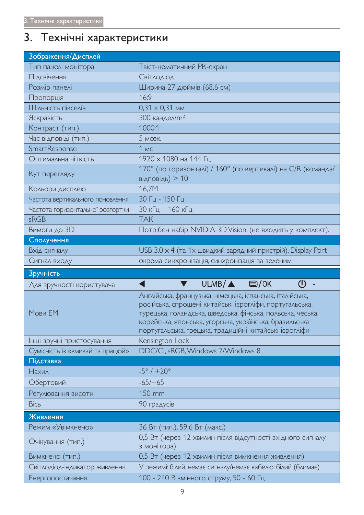# 3. Технічні характеристики

| Зображення/Дисплей                               |                                                                                                                                                                                                                                                                                                       |
|--------------------------------------------------|-------------------------------------------------------------------------------------------------------------------------------------------------------------------------------------------------------------------------------------------------------------------------------------------------------|
| Тип панелі монітора                              | Твіст-нематичний РК-екран                                                                                                                                                                                                                                                                             |
| Підсвічення                                      | Світлодіод                                                                                                                                                                                                                                                                                            |
| Розмір панелі                                    | Ширина 27 дюймів (68,6 см)                                                                                                                                                                                                                                                                            |
| Пропорція                                        | 16:9                                                                                                                                                                                                                                                                                                  |
| Щільність пікселів                               | $0,31 \times 0,31$ MM                                                                                                                                                                                                                                                                                 |
| Яскравість                                       | $300 \text{ канде/M²}$                                                                                                                                                                                                                                                                                |
| Контраст (тип.)                                  | 1000:1                                                                                                                                                                                                                                                                                                |
| Час відповіді (тип.)                             | 5 мсек.                                                                                                                                                                                                                                                                                               |
| SmartResponse                                    | 1 <sub>MC</sub>                                                                                                                                                                                                                                                                                       |
| Оптимальна чіткість                              | 1920 х 1080 на 144 Гц                                                                                                                                                                                                                                                                                 |
| Кут перегляду                                    | 170° (по горизонталі) / 160° (по вертикалі) на С/R (команда/<br>відповідь) $> 10$                                                                                                                                                                                                                     |
| Кольори дисплею                                  | 16,7M                                                                                                                                                                                                                                                                                                 |
| Частота вертикального поновлення                 | 30 Гц - 150 Гц                                                                                                                                                                                                                                                                                        |
| Частота горизонтальної розгортки                 | 30 кГц – 160 кГц                                                                                                                                                                                                                                                                                      |
| sRGB                                             | <b>TAK</b>                                                                                                                                                                                                                                                                                            |
| Вимоги до 3D                                     | Потрібен набір NVIDIA 3D Vision. (не входить у комплект).                                                                                                                                                                                                                                             |
| Сполучення                                       |                                                                                                                                                                                                                                                                                                       |
| Вхід сигналу                                     | USB $3.0 \times 4$ (та 1х швидкий зарядний пристрій), Display Port                                                                                                                                                                                                                                    |
| Сигнал входу                                     | окрема синхронізація, синхронізація за зеленим                                                                                                                                                                                                                                                        |
|                                                  |                                                                                                                                                                                                                                                                                                       |
| Зручність                                        |                                                                                                                                                                                                                                                                                                       |
| Для зручності користувача                        | $ULMB/\triangle$ $\Box$ /OK<br>(I)<br>4                                                                                                                                                                                                                                                               |
| Мови ЕМ                                          | Англійська, французька, німецька, іспанська, італійська,<br>російська, спрощені китайські ієрогліфи, португальська,<br>турецька, голандська, шведська, фінська, польська, чеська,<br>корейська, японська, угорська, українська, бразильська<br>португальська, грецька, традиційні китайські ієрогліфи |
| Інші зручні пристосування                        | Kensington Lock                                                                                                                                                                                                                                                                                       |
| Сумісність із «вмикай та працюй»                 | DDC/CI, sRGB, Windows 7/Windows 8                                                                                                                                                                                                                                                                     |
| Підставка                                        |                                                                                                                                                                                                                                                                                                       |
| Нахил                                            | $-5^{\circ}$ / $+20^{\circ}$                                                                                                                                                                                                                                                                          |
| Обертовий                                        | $-65/+65$                                                                                                                                                                                                                                                                                             |
| Регулювання висоти                               | 150 mm                                                                                                                                                                                                                                                                                                |
| Вісь                                             | 90 градусів                                                                                                                                                                                                                                                                                           |
| Живлення                                         |                                                                                                                                                                                                                                                                                                       |
| Режим «Увімкнено»                                |                                                                                                                                                                                                                                                                                                       |
| Очікування (тип.)                                | 36 Вт (тип.), 59,6 Вт (макс.)<br>0,5 Вт (через 12 хвилин після відсутності вхідного сигналу<br>з монітора)                                                                                                                                                                                            |
|                                                  |                                                                                                                                                                                                                                                                                                       |
| Вимкнено (тип.)<br>Світлодіод-індикатор живлення | 0,5 Вт (через 12 хвилин після вимкнення живлення)<br>У режимі: білий, немає сигналу/немає кабелю: білий (блимає)                                                                                                                                                                                      |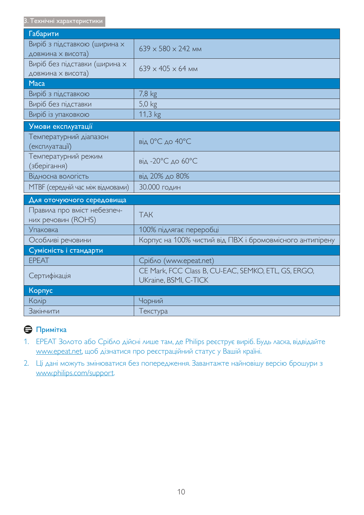| Габарити                                           |                                                                              |
|----------------------------------------------------|------------------------------------------------------------------------------|
| Виріб з підставкою (ширина х<br>довжина х висота)  | $639 \times 580 \times 242$ MM                                               |
| Виріб без підставки (ширина х<br>довжина х висота) | $639 \times 405 \times 64$ MM                                                |
| <b>Maca</b>                                        |                                                                              |
| Виріб з підставкою                                 | 7,8 kg                                                                       |
| Виріб без підставки                                | $5,0$ kg                                                                     |
| Виріб із упаковкою                                 | 11,3 kg                                                                      |
| Умови експлуатації                                 |                                                                              |
| Температурний діапазон<br>(експлуатації)           | від 0°С до 40°С                                                              |
| Температурний режим<br>(зберігання)                | від -20°С до 60°С                                                            |
| Відносна вологість                                 | від 20% до 80%                                                               |
| <b>МТВЕ</b> (середній час між відмовами)           | 30.000 годин                                                                 |
| Для оточуючого середовища                          |                                                                              |
| Правила про вміст небезпеч-<br>них речовин (ROHS)  | <b>TAK</b>                                                                   |
| <b>Упаковка</b>                                    | 100% підлягає переробці                                                      |
| Особливі речовини                                  | Корпус на 100% чистий від ПВХ і бромовмісного антипірену                     |
| Сумісність і стандарти                             |                                                                              |
| <b>EPEAT</b>                                       | Cpiбло (www.epeat.net)                                                       |
| Сертифікація                                       | CE Mark, FCC Class B, CU-EAC, SEMKO, ETL, GS, ERGO,<br>UKraine, BSMI, C-TICK |
| Корпус                                             |                                                                              |
| Колір                                              | Чорний                                                                       |
| <b>Закінчити</b>                                   | Текстура                                                                     |

# ⊜ Примітка

- 1. EPEAT Золото або Срібло дійсні лише там, де Philips реєструє виріб. Будь ласка, відвідайте www.epeat.net, щоб дізнатися про реєстраційний статус у Вашій країні.
- 2. Ці дані можуть змінюватися без попередження. Завантажте найновішу версію брошури з www.philips.com/support.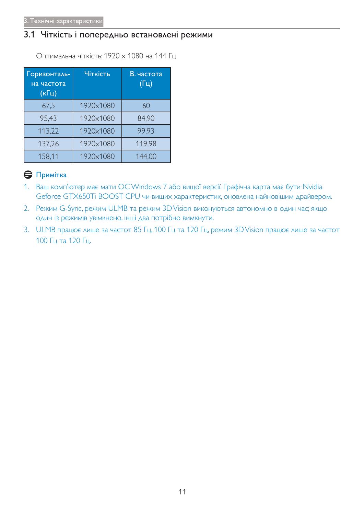# 3.1 Чіткість і попередньо встановлені режими

Оптимальна чіткість: 1920 х 1080 на 144 Гц

| Горизонталь-<br>на частота<br>(кГц) | Чіткість  | В. частота<br>$(\Gamma$ ц) |
|-------------------------------------|-----------|----------------------------|
| 67,5                                | 1920×1080 | 60                         |
| 95,43                               | 1920×1080 | 84,90                      |
| 113,22                              | 1920×1080 | 99,93                      |
| 137,26                              | 1920×1080 | 119,98                     |
| 158,11                              | 1920×1080 | 144,00                     |

## Примітка

- 1. Ваш комп'ютер має мати ОС Windows 7 або вищої версії. Графічна карта має бути Nvidia Geforce GTX650Ti BOOST CPU чи вищих характеристик, оновлена найновішим драйвером.
- 2. Режим G-Sync, режим ULMB та режим 3D Vision виконуються автономно в один час; якщо один із режимів увімкнено, інші два потрібно вимкнути.
- 3. ULMB працює лише за частот 85 Гц, 100 Гц та 120 Гц, режим 3D Vision працює лише за частот 100 Гц та 120 Гц.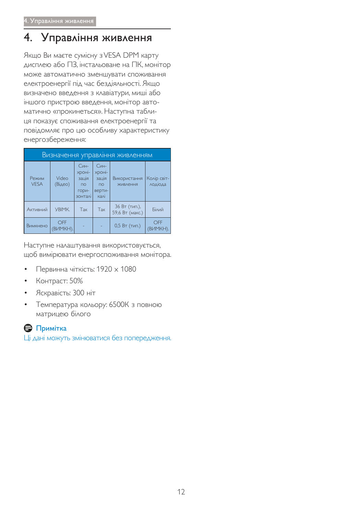# 4. Управління живлення

Якщо Ви маєте сумісну з VESA DPM карту дисплею або ПЗ, інстальоване на ПК, монітор може автоматично зменшувати споживання електроенергії під час бездіяльності. Якщо визначено введення з клавіатури, миші або іншого пристрою введення, монітор автоматично «прокинеться». Наступна таблиця показує споживання електроенергії та повідомляє про цю особливу характеристику енергозбереження:

|                      |                  |                                                                |                                                                     | Визначення управління живленням  |                        |
|----------------------|------------------|----------------------------------------------------------------|---------------------------------------------------------------------|----------------------------------|------------------------|
| Режим<br><b>VESA</b> | Video<br>(Відео) | Син-<br>XDOHI-<br>зація<br>$\overline{10}$<br>гори-<br>зонталі | <b>Син-</b><br>хроні-<br>зація<br>$\overline{10}$<br>верти-<br>калі | Використання<br>ЖИВЛЕННЯ         | Колір світ-<br>лодіода |
| Активний             | <b>YBIMK.</b>    | Так                                                            | Так                                                                 | 36 Вт (тип.),<br>59,6 Вт (макс.) | Білий                  |
| Вимкнено             | OFF<br>ВИМКН).   |                                                                |                                                                     | $0,5$ Вт (тип.)                  | OFF<br>(ВИМКН).        |

Наступне налаштування використовується, щоб вимірювати енергоспоживання монітора.

- Первинна чіткість: 1920  $\times$  1080
- Контраст: 50%
- Яскравість: 300 ніт
- Температура кольору: 6500К з повною матрицею білого

## $\bigoplus$  Примітка

Ці дані можуть змінюватися без попередження.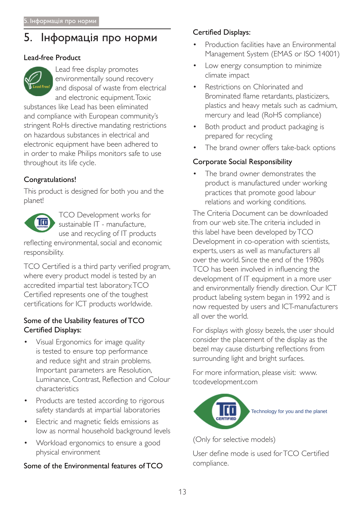#### 5. Інформація про норми

## Lead-free Product



Lead free display promotes environmentally sound recovery and disposal of waste from electrical and electronic equipment. Toxic

substances like Lead has been eliminated and compliance with European community's stringent RoHs directive mandating restrictions on hazardous substances in electrical and electronic equipment have been adhered to in order to make Philips monitors safe to use throughout its life cycle.

## Congratulations!

This product is designed for both you and the planet!



**TCO Development works for** sustainable IT - manufacture. use and recycling of IT products

reflecting environmental, social and economic responsibility.

TCO Certified is a third party verified program, where every product model is tested by an accredited impartial test laboratory.TCO Certified represents one of the toughest certifications for ICT products worldwide.

## Some of the Usability features of TCO **Certified Displays:**

- Visual Ergonomics for image quality is tested to ensure top performance and reduce sight and strain problems. Important parameters are Resolution, Luminance, Contrast, Reflection and Colour characteristics
- Products are tested according to rigorous safety standards at impartial laboratories
- Electric and magnetic fields emissions as low as normal household background levels
- Workload ergonomics to ensure a good physical environment

## Some of the Environmental features of TCO

#### **Certified Displays:**

- Production facilities have an Environmental Management System (EMAS or ISO 14001)
- Low energy consumption to minimize climate impact
- Restrictions on Chlorinated and Brominated flame retardants, plasticizers, plastics and heavy metals such as cadmium, mercury and lead (RoHS compliance)
- Both product and product packaging is prepared for recycling
- The brand owner offers take-back options

## **Corporate Social Responsibility**

The brand owner demonstrates the product is manufactured under working practices that promote good labour relations and working conditions.

The Criteria Document can be downloaded from our web site. The criteria included in this label have been developed by TCO Development in co-operation with scientists, experts, users as well as manufacturers all over the world. Since the end of the 1980s TCO has been involved in influencing the development of IT equipment in a more user and environmentally friendly direction. Our ICT product labeling system began in 1992 and is now requested by users and ICT-manufacturers all over the world

For displays with glossy bezels, the user should consider the placement of the display as the bezel may cause disturbing reflections from surrounding light and bright surfaces.

For more information, please visit: www. tcodevelopment.com



(Only for selective models)

User define mode is used for TCO Certified compliance.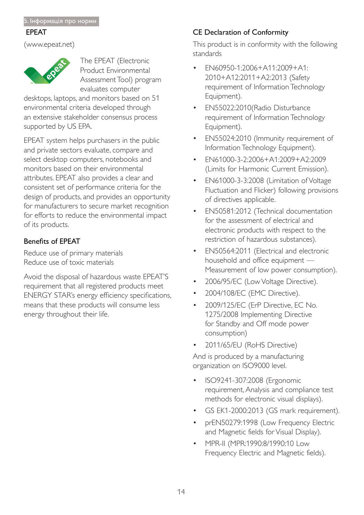#### **EPEAT**

www.epeat.net



The EPEAT (Electronic Product Environmental Assessment Tool) program evaluates computer

desktops, laptops, and monitors based on 51 environmental criteria developed through an extensive stakeholder consensus process supported by US EPA.

EPEAT system helps purchasers in the public and private sectors evaluate, compare and select desktop computers, notebooks and monitors based on their environmental attributes. EPEAT also provides a clear and consistent set of performance criteria for the design of products, and provides an opportunity for manufacturers to secure market recognition for efforts to reduce the environmental impact of its products.

## Benefits of EPEAT

Reduce use of primary materials Reduce use of toxic materials

Avoid the disposal of hazardous waste EPEAT'S requirement that all registered products meet ENERGY STAR's energy efficiency specifications, means that these products will consume less energy throughout their life.

# CE Declaration of Conformity

This product is in conformity with the following standards

- EN60950-1:2006+A11:2009+A1: 2010+A12:2011+A2:2013 (Safety requirement of Information Technology Equipment).
- EN55022:2010(Radio Disturbance requirement of Information Technology Equipment).
- EN55024:2010 (Immunity requirement of Information Technology Equipment).
- EN61000-3-2:2006+A1:2009+A2:2009 (Limits for Harmonic Current Emission).
- EN61000-3-3:2008 (Limitation of Voltage Fluctuation and Flicker) following provisions of directives applicable.
- EN50581:2012 (Technical documentation for the assessment of electrical and electronic products with respect to the restriction of hazardous substances).
- EN50564:2011 (Electrical and electronic household and office equipment — Measurement of low power consumption).
- 2006/95/EC (Low Voltage Directive).
- 2004/108/EC (EMC Directive).
- 2009/125/EC (ErP Directive, EC No. 1275/2008 Implementing Directive for Standby and Off mode power consumption)
- 2011/65/EU (RoHS Directive)

And is produced by a manufacturing organization on ISO9000 level.

- ISO9241-307:2008 (Ergonomic requirement, Analysis and compliance test methods for electronic visual displays).
- GS EK1-2000:2013 (GS mark requirement).
- prEN50279:1998 (Low Frequency Electric and Magnetic fields for Visual Display).
- MPR-II (MPR:1990:8/1990:10 Low Frequency Electric and Magnetic fields).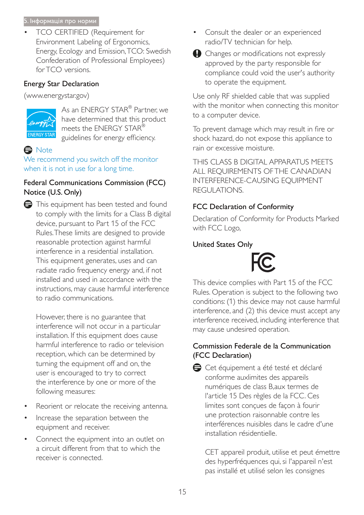#### 5. Інформація про норми

TCO CERTIFIED (Requirement for Environment Labeling of Ergonomics, Energy, Ecology and Emission, TCO: Swedish Confederation of Professional Employees) for TCO versions.

## Energy Star Declaration

(www.energystar.gov)



As an ENERGY STAR® Partner, we have determined that this product meets the ENERGY STAR® guidelines for energy efficiency.

# **e** Note

We recommend you switch off the monitor when it is not in use for a long time.

## Federal Communications Commission (FCC) Notice (U.S. Only)



However, there is no guarantee that interference will not occur in a particular installation. If this equipment does cause harmful interference to radio or television reception, which can be determined by turning the equipment off and on, the user is encouraged to try to correct the interference by one or more of the following measures:

- Reorient or relocate the receiving antenna.
- Increase the separation between the equipment and receiver.
- Connect the equipment into an outlet on a circuit different from that to which the receiver is connected.
- Consult the dealer or an experienced radio/TV technician for help.
- $\bigcirc$  Changes or modifications not expressly approved by the party responsible for compliance could void the user's authority to operate the equipment.

Use only RF shielded cable that was supplied with the monitor when connecting this monitor to a computer device.

To prevent damage which may result in fire or shock hazard, do not expose this appliance to rain or excessive moisture.

THIS CLASS B DIGITAL APPARATUS MEETS ALL REQUIREMENTS OF THE CANADIAN INTERFERENCE-CAUSING EQUIPMENT REGULATIONS.

# FCC Declaration of Conformity

Declaration of Conformity for Products Marked with FCC Logo,

## United States Only



This device complies with Part 15 of the FCC Rules. Operation is subject to the following two conditions: (1) this device may not cause harmful interference, and (2) this device must accept any interference received, including interference that may cause undesired operation.

## Commission Federale de la Communication (FCC Declaration)

Cet équipement a été testé et déclaré conforme auxlimites des appareils numériques de class B, aux termes de l'article 15 Des règles de la FCC. Ces limites sont conçues de façon à fourir une protection raisonnable contre les interférences nuisibles dans le cadre d'une installation résidentielle.

CET appareil produit, utilise et peut émettre des hyperfréquences qui, si l'appareil n'est pas installé et utilisé selon les consignes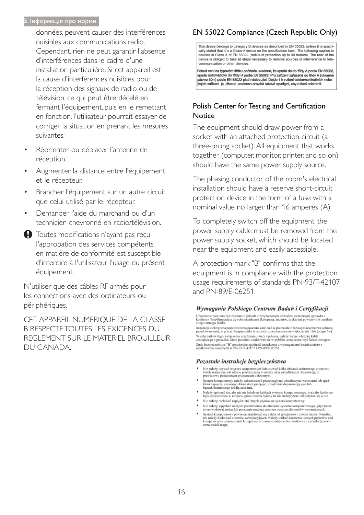#### 5. Інформація про норми

données, peuvent causer des interférences nuisibles aux communications radio. Cependant, rien ne peut garantir l'absence d'interférences dans le cadre d'une installation particulière. Si cet appareil est la cause d'interférences nuisibles pour la réception des signaux de radio ou de télévision, ce qui peut être décelé en fermant l'équipement, puis en le remettant en fonction, l'utilisateur pourrait essayer de corriger la situation en prenant les mesures suivantes:

- Réorienter ou déplacer l'antenne de réception.
- Augmenter la distance entre l'équipement et le récepteur.
- Brancher l'équipement sur un autre circuit que celui utilisé par le récepteur.
- Demander l'aide du marchand ou d'un technicien chevronné en radio/télévision.
- Toutes modifications n'ayant pas reçu l'approbation des services compétents en matière de conformité est susceptible d'interdire à l'utilisateur l'usage du présent équipement.

N'utiliser que des câbles RF armés pour les connections avec des ordinateurs ou périphériques.

CET APPAREIL NUMERIOUE DE LA CLASSE **B RESPECTE TOUTES LES EXIGENCES DU** REGLEMENT SUR LE MATERIEL BROUILLEUR DU CANADA.

# EN 55022 Compliance (Czech Republic Only)

This device belongs to category B devices as described in EN 55022, unless it is specifically stated that it is a Class A device on the specification label. The following applies to devices in Class A of EN 55022 (radius of protection up to 30 meters). The user of the device is obliged to take all steps necessary to remove sources of interference to telecommunication or other devices

Pokud není na typovém štítku počítače uvedeno, že spadá do do třídy A podle EN 55022, spadá automaticky do třídy B podle EN 55022. Pro zařízení zařazená do třídy A (chranné násmo 30m) podle EN 55022 platí následulící. Dolde-li k rušení telekomunikačních nebo jiných zařízení je uživatel povinnen provést taková opatřgní, aby rušení odstranil.

## Polish Center for Testing and Certification Notice

The equipment should draw power from a socket with an attached protection circuit (a three-prong socket). All equipment that works together (computer, monitor, printer, and so on) should have the same power supply source.

The phasing conductor of the room's electrical installation should have a reserve short-circuit protection device in the form of a fuse with a nominal value no larger than 16 amperes (A).

To completely switch off the equipment, the power supply cable must be removed from the power supply socket, which should be located near the equipment and easily accessible.

A protection mark "B" confirms that the equipment is in compliance with the protection usage requirements of standards PN-93/T-42107 and PN-89/F-06251.

#### Wymagania Polskiego Centrum Badań i Certyfikacji

Urządzenie powinno być zasiłane z gniazda z przyłączonym obwodem ochronnym (gniazdo z kołkiem). Współpracujące ze sobą urządzenia (komputer, monitor, drukarka) powinny być zasiłane z tego samego źródła.

Instalacja elektryczna pomieszczenia powinna zawierać w przewodzie fazowym rezerwową ochronę<br>przed zwarciami, w postaci bezpiecznika o wartości znamionowej nie większej niż 16A (amperów). .<br>W celu całkowitego wyłączenia urządzenia z sieci zasilania, należy wyjąć wtyczkę kabla<br>zasilającego z gniazdka, które powinno znajdować się w pobliżu urządzenia i być łatwo dostępne. Znak bezpieczeństwa "B" potwierdza zgodność urządzenia z wymaganiami bezpieczeństwa użytkowania zawartymi w PN-93/T-42107 i PN-89/E-06251.

#### Pozostałe instrukcje bezpieczeństwa

- Nie należy używać wtyczek adapterowych lub usuwać kołka obwodu ochronnego z wtyczki.<br>Jeżeli konieczne jest użycie przedłużacza to należy użyć przedłużacza 3-żyłowego z<br>prawidłowo połączonym przewodem ochronnym.
- $\,$ System komputerowy należy zabezpieczyć przed nagłymi, chwilowymi wzrokami napięcia, używając eliminatora przepięć, urządzenia dopasowującego lubezzakł<br><br/>óceniowego źródła zasilania. tami lub spadvymi wzrost<br>ującego lub
- Należy upewnić się, aby nic nie leżało na kabłach systemu komputerowego, oraz aby kabłe nie<br>były umieszczone w miejscu, gdzie można byłoby na nie nadeptywać lub potykać się o nie.
- Nie należy rozlewać napojów ani innych płynów na system komputerowy.
- 
- Nie należy wpychać zadnych mu umycu prynow na zystem Komputerowy.<br>Nie należy wpychać żadnych przedmiotów do stworów systemu komputerowego, gdyż może to spowodować pożar lub porażenie prądem, poprzez zwarcie elementów wewn rów pod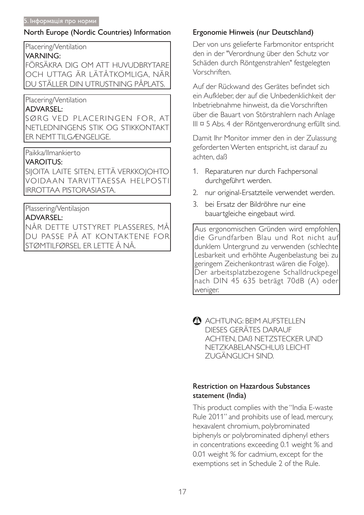#### North Europe (Nordic Countries) Information

Placering/Ventilation

#### **VARNING:**

FÖRSÄKRA DIG OM ATT HUVUDBRYTARE OCH UTTAG ÄR LÄTÅTKOMLIGA. NÄR DU STÄLLER DIN UTRUSTNING PÅPLATS.

## Placering/Ventilation

#### **ADVARSEL:**

SØRG VED PLACERINGEN FOR. AT NETLEDNINGENS STIK OG STIKKONTAKT **ER NEMTTILGÆNGELIGE.** 

## Paikka/Ilmankierto

#### **VAROITUS:**

SIJOITA LAITE SITEN, ETTÄ VERKKOJOHTO VOIDAAN TARVITTAESSA HELPOSTI **IRROTTAA PISTORASIASTA.** 

## Plassering/Ventilasjon

## **ADVARSEL:**

NÅR DETTE UTSTYRET PLASSERES, MÅ DU PASSE PÅ AT KONTAKTENE FOR |STØMTILFØRSEL ER LETTE Å NÅ.

## Ergonomie Hinweis (nur Deutschland)

Der von uns gelieferte Farbmonitor entspricht den in der "Verordnung über den Schutz vor Schäden durch Röntgenstrahlen" festgelegten Vorschriften

Auf der Rückwand des Gerätes befindet sich ein Aufkleber, der auf die Unbedenklichkeit der Inbetriebnahme hinweist, da die Vorschriften über die Bauart von Störstrahlern nach Anlage III ¤ 5 Abs. 4 der Röntgenverordnung erfüllt sind.

Damit Ihr Monitor immer den in der Zulassung geforderten Werten entspricht, ist darauf zu achten, daß

- 1. Reparaturen nur durch Fachpersonal durchgeführt werden.
- 2. nur original-Ersatzteile verwendet werden.
- 3. bei Ersatz der Bildröhre nur eine bauartgleiche eingebaut wird.

Aus ergonomischen Gründen wird empfohlen, die Grundfarben Blau und Rot nicht auf dunklem Untergrund zu verwenden (schlechte Lesbarkeit und erhöhte Augenbelastung bei zu geringem Zeichenkontrast wären die Folge). Der arbeitsplatzbezogene Schalldruckpegel nach DIN 45 635 beträgt 70dB (A) oder weniger.

ACHTUNG: BEIM AUFSTELLEN DIESES GERÄTES DARAUF ACHTEN. DAB NETZSTECKER UND NETZKABELANSCHLUB LEICHT ZUGÄNGLICH SIND.

## **Restriction on Hazardous Substances** statement (India)

This product complies with the "India E-waste" Rule 2011" and prohibits use of lead, mercury, hexavalent chromium, polybrominated biphenyls or polybrominated diphenyl ethers in concentrations exceeding 0.1 weight % and 0.01 weight % for cadmium, except for the exemptions set in Schedule 2 of the Rule.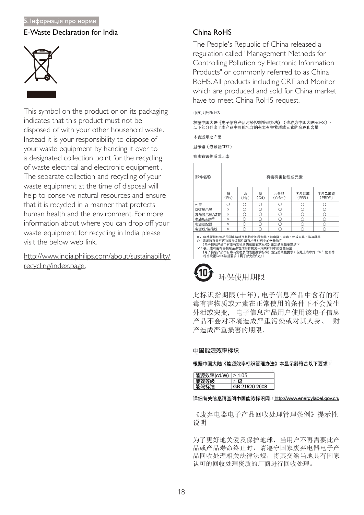#### 5. Інформація про норми

#### E-Waste Declaration for India



This symbol on the product or on its packaging indicates that this product must not be disposed of with your other household waste. Instead it is your responsibility to dispose of your waste equipment by handing it over to a designated collection point for the recycling of waste electrical and electronic equipment . The separate collection and recycling of your waste equipment at the time of disposal will help to conserve natural resources and ensure that it is recycled in a manner that protects human health and the environment. For more information about where you can drop off your waste equipment for recycling in India please visit the below web link.

http://www.india.philips.com/about/sustainability/ recycling/index.page.

#### $China$   $Ro$ HS

The People's Republic of China released a regulation called "Management Methods for Controlling Pollution by Electronic Information Products" or commonly referred to as China RoHS. All products including CRT and Monitor which are produced and sold for China market have to meet China RoHS request.

#### 中国大陆RoHS

根据中国大陆《电子信息产品污染控制管理办法》(也称为中国大陆RoHS), 以下部分列出了本产品中可能包含的有毒有害物质或元素的名称和含量

本表适用之产品

显示器(液晶及CRT)

有毒有害物质或元素

| 部件名称                                                                                                                               | 有毒有害物质或元素 |           |           |                                                                                |               |                 |
|------------------------------------------------------------------------------------------------------------------------------------|-----------|-----------|-----------|--------------------------------------------------------------------------------|---------------|-----------------|
|                                                                                                                                    | 铅<br>(Pb) | 汞<br>(Hg) | 镉<br>(Cd) | 六价铬<br>$(Cr6+)$                                                                | 多溴联苯<br>(PBB) | 多溴二苯醚<br>(PBDE) |
| 外壳                                                                                                                                 | ∩         | ∩         | Ω         | O                                                                              | Ω             | O               |
| CRT显示屏                                                                                                                             | ×         | O         | O         | Ο                                                                              | O             | Ο               |
| 液晶显示屏/灯管                                                                                                                           | $\times$  | O         | O         | O                                                                              | Ω             | O               |
| 电路板组件*                                                                                                                             | ×         | O         | O         | O                                                                              | O             | O               |
| 电源适配器                                                                                                                              | ×         | O         | O         | O                                                                              | O             | О               |
| 电源线/连接线                                                                                                                            | $\times$  | ∩         | ∩         | O                                                                              | ∩             | O               |
| *: 电路板组件包括印刷电路板及其构成的零部件,如电阻、电容、集成电路、连接器等<br>○:表示该有毒有害物质在该部件所有均质材料中的含量均在<br>×:表示该有毒有害物质至少在该部件的某一均质材料中的含量超出<br>符合欧盟RoHS法规要求(属于豁免的部分) |           |           |           | 《电子信息产品中有毒有害物质的限量要求标准》规定的限量要求以下<br>《电子信息产品中有毒有害物质的限量要求标准》规定的限量要求;但是上表中打"×"的部件, |               |                 |

# 环保使用期限

此标识指期限(十年), 电子信息产品中含有的有 毒有害物质或元素在正常使用的条件下不会发生 外泄或突变, 电子信息产品用户使用该电子信息 产品不会对环境造成严重污染或对其人身、 财 产造成严重损害的期限.

#### 中国能源效率标识

根据中国大陆《能源效率标识管理办法》本显示器符合以下要求:

| 能源效率(cd/W)   > 1.05 |               |
|---------------------|---------------|
| 能双寺级                |               |
| 能效标准                | GB 21520-2008 |

#### 详细有关信息请查阅中国能效标识网: http://www.energylabel.gov.cn/

《废弃电器电子产品回收处理管理条例》提示性 说明

为了更好地关爱及保护地球, 当用户不再需要此产 品或产品寿命终止时, 请遵守国家废弃电器电子产 品回收处理相关法律法规, 将其交给当地具有国家 认可的回收处理资质的厂商进行回收处理。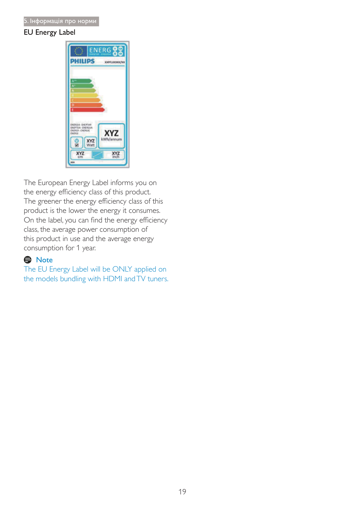### EU Energy Label



The European Energy Label informs you on the energy efficiency class of this product. The greener the energy efficiency class of this product is the lower the energy it consumes. On the label, you can find the energy efficiency class, the average power consumption of this product in use and the average energy consumption for 1 year.

## **e** Note

The EU Energy Label will be ONLY applied on the models bundling with HDMI and TV tuners.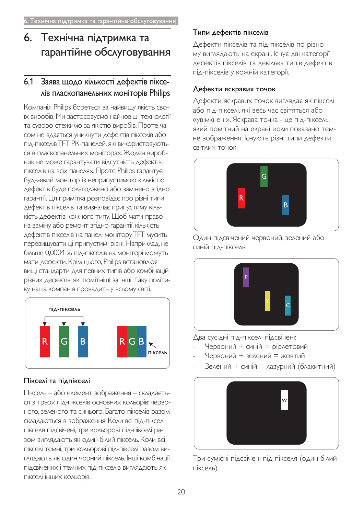# 6. Технічна підтримка та гарантійне обслуговування

# 6.1 Заява щодо кількості дефектів пікселів пласкопанельних моніторів Philips

Компанія Philips бореться за найвищу якість своїх виробів. Ми застосовуємо найновіші технології та суворо стежимо за якістю виробів. Проте ча-СОМ НЕ ВДАЄТЬСЯ УНИКНУТИ ДЕФЕКТІВ ПІКСЕЛІВ АБО під-пікселів ТFT РК-панелей, які використовуються в пласкопанельних моніторах. Жоден виробник не може гарантувати відсутність дефектів пікселів на всіх панелях. Проте Philips гарантує: будь-який монітор із неприпустимою кількістю дефектів буде полагоджено або замінено згідно гарантії. Ця примітка розповідає про різні типи дефектів пікселів та визначає припустиму кількість дефектів кожного типу. Щоб мати право на заміну або ремонт згідно гарантії, кількість дефектів пікселів на панелі монітору ТFT мусить перевищувати ці припустимі рівні. Наприклад, не більше 0,0004 % під-пікселів на моніторі можуть мати дефекти. Крім цього, Philips встановлює вищі стандарти для певних типів або комбінацій різних дефектів, які помітніші за інші. Таку політику наша компанія провадить у всьому світі.



## Пікселі та підпікселі

Піксель - або елемент зображення - складаєть-СЯ З ТРЬОХ ПІД-ПІКСЕЛІВ ОСНОВНИХ КОЛЬОРІВ: ЧЕРВОного, зеленого та синього. Багато пікселів разом складаються в зображення. Коли всі під-пікселі пікселя підсвічені, три кольорові під-пікселі разом виглядають як один білий піксель. Коли всі пікселі темні, три кольорові під-пікселі разом виглядають як один чорний піксель. Інші комбінації ПІДСВІЧЕНИХ І ТЕМНИХ ПІД-ПІКСЕЛІВ ВИГЛЯДАЮТЬ ЯК пікселі інших кольорів.

## Типи дефектів пікселів

Дефекти пікселів та під-пікселів по-різному виглядають на екрані. Існує дві категорії дефектів пікселів та декілька типів дефектів під-пікселів у кожній категорії.

## Дефекти яскравих точок

Дефекти яскравих точок виглядає як пікселі або під-пікселі, які весь час світяться або «увімкнені». Яскрава точка - це під-піксель, який помітний на екрані, коли показано темне зображення. Існують різні типи дефекти CBITAUX TOYOK.



Один підсвічений червоний, зелений або синій під-піксель.



Два сусідні під-пікселі підсвічені:

- Червоний + синій = фіолетовий
- Червоний + зелений = жовтий
- Зелений + синій = лазурний (блакитний)



Три сумісні підсвічені під-пікселя (один білий піксель).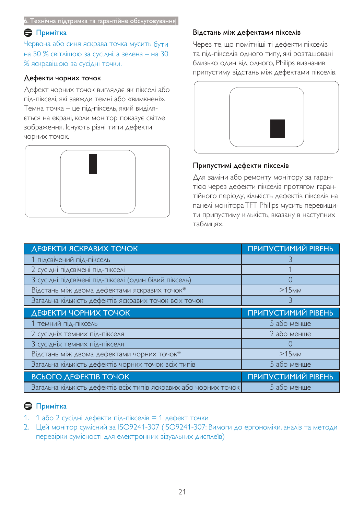#### $\bigoplus$  Примітка

Червона або синя яскрава точка мусить бути на 50 % світлішою за сусідні, а зелена – на 30 % яскравішою за сусідні точки.

#### Дефекти чорних точок

Дефект чорних точок виглядає як пікселі або під-пікселі, які завжди темні або «вимкнені». Темна точка – це під-піксель, який виділя- $^6$ сться на екрані, коли монітор показує світле зображення. Існують різні типи дефекти ЧОРНИХ ТОЧОК.



#### Відстань між дефектами пікселів

Через те, що помітніші ті дефекти пікселів та під-пікселів одного типу, які розташовані близько один від одного, Philips визначив припустиму відстань між дефектами пікселів.



#### Припустимі дефекти пікселів

∆ля заміни або ремонту монітору за гарантією через дефекти пікселів протягом гарантійного періоду, кількість дефектів пікселів на панелі монітора TFT Philips мусить перевищити припустиму кількість, вказану в наступних таблицях.

| ДЕФЕКТИ ЯСКРАВИХ ТОЧОК                                | <b>ПРИПУСТИМИЙ РІВЕНЬ</b> |
|-------------------------------------------------------|---------------------------|
| 1 підсвічений під-піксель                             |                           |
| 2 сусідні підсвічені під-пікселі                      |                           |
| 3 сусідні підсвічені під-пікселі (один білий піксель) |                           |
| Відстань між двома дефектами яскравих точок*          | >15 <sub>MM</sub>         |
| Загальна кількість дефектів яскравих точок всіх точок |                           |
| ДЕФЕКТИ ЧОРНИХ ТОЧОК                                  | ПРИПУСТИМИЙ РІВЕНЬ        |
|                                                       |                           |
| 1 темний під-піксель                                  | 5 або менше               |
| 2 сусідніх темних під-пікселя                         | 2 або менше               |
| 3 сусідніх темних під-пікселя                         |                           |
| Відстань між двома дефектами чорних точок*            | >15 <sub>MM</sub>         |
| Загальна кількість дефектів чорних точок всіх типів   | 5 або менше               |
| <b>ВСЬОГО ДЕФЕКТІВ ТОЧОК</b>                          | ПРИПУСТИМИЙ РІВЕНЬ        |

## $\bigoplus$  Примітка

- $1.$  1 або 2 сусідні дефекти під-пікселів $=$ 1 дефект точки
- 2. Цей монітор сумісний за ISO9241-307 (ISO9241-307: Вимоги до ергономіки, аналіз та методи Перевірки сумісності для електронних візуальних дисплеїв)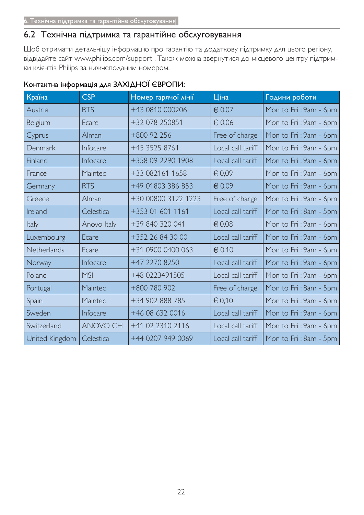# 6.2 Технічна підтримка та гарантійне обслуговування

Щоб отримати детальнішу інформацію про гарантію та додаткову підтримку для цього регіону, відвідайте сайт www.philips.com/support . Також можна звернутися до місцевого центру підтримки клієнтів Philips за нижчеподаним номером:

| Країна         | <b>CSP</b>  | Номер гарячої лінії | Ціна              | Години роботи          |
|----------------|-------------|---------------------|-------------------|------------------------|
| Austria        | <b>RTS</b>  | +43 0810 000206     | $\in 0.07$        | Mon to Fri: 9am - 6pm  |
| Belgium        | Ecare       | +32 078 250851      | $\in 0.06$        | Mon to Fri: 9am - 6pm  |
| Cyprus         | Alman       | $+800$ 92 256       | Free of charge    | Mon to Fri: 9am - 6pm  |
| Denmark        | Infocare    | +45 3525 8761       | Local call tariff | Mon to Fri: 9am - 6pm  |
| Finland        | Infocare    | +358 09 2290 1908   | Local call tariff | Mon to Fri: 9am - 6pm  |
| France         | Mainteg     | +33 082161 1658     | € 0,09            | Mon to Fri: 9am - 6pm  |
| Germany        | <b>RTS</b>  | +49 01803 386 853   | $\in 0.09$        | Mon to Fri: 9am - 6pm  |
| Greece         | Alman       | +30 00800 3122 1223 | Free of charge    | Mon to Fri: 9am - 6pm  |
| Ireland        | Celestica   | +353 01 601 1161    | Local call tariff | Mon to Fri: 8am - 5pm  |
| Italy          | Anovo Italy | +39 840 320 041     | $\epsilon$ 0,08   | Mon to Fri: 9am - 6pm  |
| Luxembourg     | Ecare       | +352 26 84 30 00    | Local call tariff | Mon to Fri: 9am - 6pm  |
| Netherlands    | Ecare       | +31 0900 0400 063   | € 0,10            | Mon to Fri: 9am - 6pm  |
| Norway         | Infocare    | +47 2270 8250       | Local call tariff | Mon to Fri: 9am - 6pm  |
| Poland         | <b>MSI</b>  | +48 0223491505      | Local call tariff | Mon to Fri: 9am - 6pm  |
| Portugal       | Mainteg     | +800 780 902        | Free of charge    | Mon to Fri: 8am - 5pm  |
| Spain          | Mainteq     | +34 902 888 785     | $\in 0,10$        | Mon to Fri: 9am - 6pm  |
| Sweden         | Infocare    | +46 08 632 0016     | Local call tariff | Mon to Fri: 9am - 6pm  |
| Switzerland    | ANOVO CH    | +41 02 2310 2116    | Local call tariff | Mon to Fri : 9am - 6pm |
| United Kingdom | Celestica   | +44 0207 949 0069   | Local call tariff | Mon to Fri: 8am - 5pm  |

## Контактна інформація для ЗАХІДНОЇ ЄВРОПИ: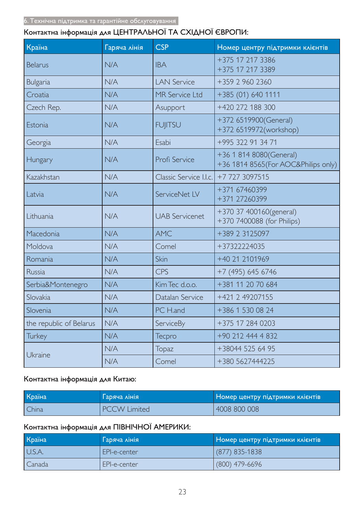# Контактна інформація для ЦЕНТРАЛЬНОЇ ТА СХІДНОЇ ЄВРОПИ:

| Країна                  | Гаряча лінія | <b>CSP</b>             | Номер центру підтримки клієнтів                                 |  |
|-------------------------|--------------|------------------------|-----------------------------------------------------------------|--|
| <b>Belarus</b>          | N/A          | <b>IBA</b>             | +375 17 217 3386<br>+375 17 217 3389                            |  |
| <b>Bulgaria</b>         | N/A          | <b>LAN Service</b>     | +359 2 960 2360                                                 |  |
| Croatia                 | N/A          | MR Service Ltd         | +385 (01) 640 1111                                              |  |
| Czech Rep.              | N/A          | Asupport               | +420 272 188 300                                                |  |
| Estonia                 | N/A          | <b>FUJITSU</b>         | +372 6519900(General)<br>+372 6519972(workshop)                 |  |
| Georgia                 | N/A          | Esabi                  | +995 322 91 34 71                                               |  |
| Hungary                 | N/A          | Profi Service          | +36 1 814 8080(General)<br>+36 1814 8565 (For AOC&Philips only) |  |
| Kazakhstan              | N/A          | Classic Service I.I.c. | +7 727 3097515                                                  |  |
| Latvia                  | N/A          | ServiceNet LV          | +371 67460399<br>+371 27260399                                  |  |
| Lithuania               | N/A          | <b>UAB Servicenet</b>  | +370 37 400160(general)<br>+370 7400088 (for Philips)           |  |
| Macedonia               | N/A          | <b>AMC</b>             | +389 2 3125097                                                  |  |
| Moldova                 | N/A          | Comel                  | +37322224035                                                    |  |
| Romania                 | N/A          | Skin                   | +40 21 2101969                                                  |  |
| Russia                  | N/A          | <b>CPS</b>             | +7 (495) 645 6746                                               |  |
| Serbia&Montenegro       | N/A          | Kim Tec d.o.o.         | +381 11 20 70 684                                               |  |
| Slovakia                | N/A          | Datalan Service        | +421 2 49207155                                                 |  |
| Slovenia                | N/A          | PC H.and               | +386 1 530 08 24                                                |  |
| the republic of Belarus | N/A          | ServiceBy              | +375 17 284 0203                                                |  |
| Turkey                  | N/A          | Tecpro                 | +90 212 444 4 832                                               |  |
|                         | N/A          | Topaz                  | +38044 525 64 95                                                |  |
| Ukraine                 | N/A          | Comel                  | +380 5627444225                                                 |  |

## Контактна інформація для Китаю:

| Країна | <u> Паряча лінія </u> | Номер центру підтримки клієнтів |
|--------|-----------------------|---------------------------------|
| China  | <b>PCCW Limited</b>   | 4008 800 008                    |

# Контактна інформація для ПІВНІЧНОЇ АМЕРИКИ:

| Країна | Гаряча лінія | Номер центру підтримки клієнтів |
|--------|--------------|---------------------------------|
| U.S.A. | EPI-e-center | $(877)$ 835-1838                |
| Canada | EPI-e-center | $(800)$ 479-6696                |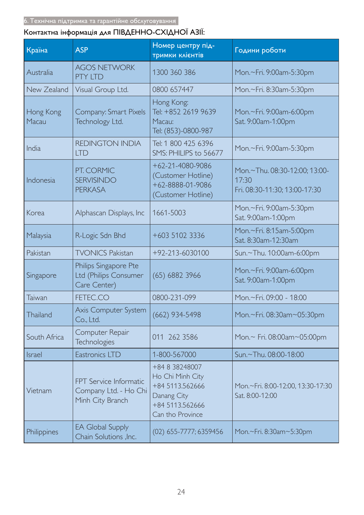# Контактна інформація для ПІВДЕННО-СХІДНОЇ АЗІЇ:

| Країна             | <b>ASP</b>                                                          | Номер центру під-<br>тримки клієнтів                                                                        | Години роботи                                                           |
|--------------------|---------------------------------------------------------------------|-------------------------------------------------------------------------------------------------------------|-------------------------------------------------------------------------|
| Australia          | <b>AGOS NETWORK</b><br><b>PTY LTD</b>                               | 1300 360 386                                                                                                | Mon.~Fri. 9:00am-5:30pm                                                 |
| New Zealand        | Visual Group Ltd.                                                   | 0800 657447                                                                                                 | Mon.~Fri. 8:30am-5:30pm                                                 |
| Hong Kong<br>Macau | Company: Smart Pixels<br>Technology Ltd.                            | Hong Kong:<br>Tel: +852 2619 9639<br>Macau:<br>Tel: (853)-0800-987                                          | Mon.~Fri. 9:00am-6:00pm<br>Sat. 9:00am-1:00pm                           |
| India              | <b>REDINGTON INDIA</b><br><b>LTD</b>                                | Tel: 1 800 425 6396<br>SMS: PHILIPS to 56677                                                                | Mon.~Fri. 9:00am-5:30pm                                                 |
| Indonesia          | PT. CORMIC<br><b>SERVISINDO</b><br><b>PERKASA</b>                   | $+62 - 21 - 4080 - 9086$<br>(Customer Hotline)<br>+62-8888-01-9086<br>(Customer Hotline)                    | Mon.~Thu. 08:30-12:00; 13:00-<br>17:30<br>Fri. 08:30-11:30; 13:00-17:30 |
| Korea              | Alphascan Displays, Inc                                             | 1661-5003                                                                                                   | Mon.~Fri. 9:00am-5:30pm<br>Sat. 9:00am-1:00pm                           |
| Malaysia           | R-Logic Sdn Bhd                                                     | +603 5102 3336                                                                                              | Mon.~Fri. 8:15am-5:00pm<br>Sat. 8:30am-12:30am                          |
| Pakistan           | <b>TVONICS Pakistan</b>                                             | +92-213-6030100                                                                                             | Sun.~Thu. 10:00am-6:00pm                                                |
| Singapore          | Philips Singapore Pte<br>Ltd (Philips Consumer<br>Care Center)      | (65) 6882 3966                                                                                              | Mon.~Fri. 9:00am-6:00pm<br>Sat. 9:00am-1:00pm                           |
| Taiwan             | FETEC.CO                                                            | 0800-231-099                                                                                                | Mon,~Fri, 09:00 - 18:00                                                 |
| Thailand           | Axis Computer System<br>Co., Ltd.                                   | $(662)$ 934-5498                                                                                            | Mon.~Fri. 08:30am~05:30pm                                               |
| South Africa       | Computer Repair<br><b>Technologies</b>                              | 011 262 3586                                                                                                | Mon.~ Fri. 08:00am~05:00pm                                              |
| Israel             | Eastronics LTD                                                      | 1-800-567000                                                                                                | Sun.~Thu. 08:00-18:00                                                   |
| Vietnam            | FPT Service Informatic<br>Company Ltd. - Ho Chi<br>Minh City Branch | +84 8 38248007<br>Ho Chi Minh City<br>+84 5113.562666<br>Danang City<br>+84 5113.562666<br>Can tho Province | Mon.~Fri. 8:00-12:00, 13:30-17:30<br>Sat. 8:00-12:00                    |
| Philippines        | <b>EA Global Supply</b><br>Chain Solutions , Inc.                   | (02) 655-7777; 6359456                                                                                      | Mon.~Fri. 8:30am~5:30pm                                                 |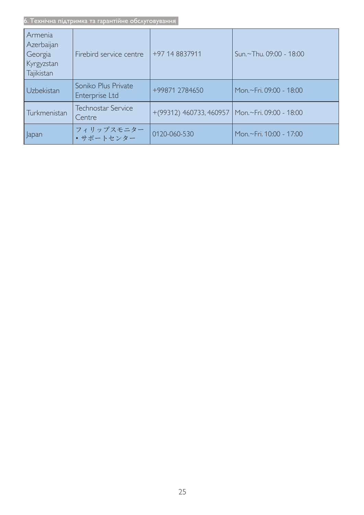6. Технічна підтримка та гарантійне обслуговування  $\overline{\phantom{a}}$ 

| Armenia<br>Azerbaijan<br>Georgia<br>Kyrgyzstan<br>Tajikistan | Firebird service centre               | +97 14 8837911                                      | Sun.~Thu. 09:00 - 18:00 |
|--------------------------------------------------------------|---------------------------------------|-----------------------------------------------------|-------------------------|
| Uzbekistan                                                   | Soniko Plus Private<br>Enterprise Ltd | +99871 2784650                                      | Mon.~Fri. 09:00 - 18:00 |
| Turkmenistan                                                 | <b>Technostar Service</b><br>Centre   | $+(99312)$ 460733, 460957   Mon.~Fri. 09:00 - 18:00 |                         |
| Japan                                                        | フィリップスモニター<br>• サポートセンター              | 0120-060-530                                        | Mon.~Fri. 10:00 - 17:00 |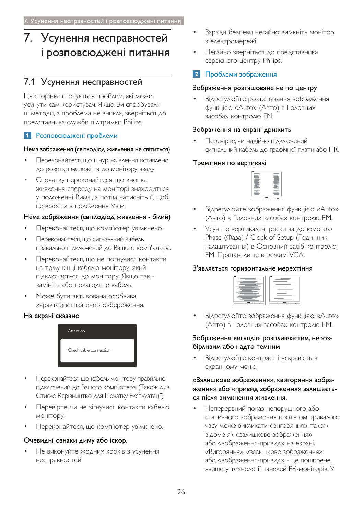# 7. Усунення несправностей і розповсюджені питання

# 7.1 Усунення несправностей

Ця сторінка стосується проблем, які може усунути сам користувач. Якщо Ви спробували ці методи, а проблема не зникла, зверніться до представника служби підтримки Philips.

## 1 Розповсюджені проблеми

#### Нема зображення (світлодіод живлення не світиться)

- Переконайтеся, що шнур живлення вставлено до розетки мережі та до монітору ззаду.
- Спочатку переконайтеся, що кнопка живлення спереду на моніторі знаходиться у положенні Вимк., а потім натисніть її, щоб перевести в положення Увім.

#### Нема зображення (світлодіод живлення - білий)

- Переконайтеся, що комп'ютер увімкнено.
- Переконайтеся, що сигнальний кабель правильно підключений до Вашого комп'ютера.
- Переконайтеся, що не погнулися контакти на тому кінці кабелю монітору, який підключається до монітору. Якщо так замініть або полагодьте кабель.
- Може бути активована особлива характеристика енергозбереження.

#### На екрані сказано



- Переконайтеся, що кабель монітору правильно підключений до Вашого комп'ютера. (Також див. Стисле Керівництво для Початку Експлуатації)
- Перевірте, чи не зігнулися контакти кабелю монітору.
- Переконайтеся, що комп'ютер увімкнено.

#### Очевидні ознаки диму або іскор.

Не виконуйте жодних кроків з усунення несправностей

- Заради безпеки негайно вимкніть монітор з електромережі
- Негайно зверніться до представника сервісного центру Philips.

## Проблеми зображення

#### Зображення розташоване не по центру

Відрегулюйте розташування зображення функцією «Auto» (Авто) в Головних засобах контролю ЕМ.

#### Зображення на екрані дрижить

Перевірте, чи надійно підключений сигнальний кабель до графічної плати або ПК.

#### Тремтіння по вертикалі



- Відрегулюйте зображення функцією «Auto» (Авто) в Головних засобах контролю ЕМ.
- Усуньте вертикальні риски за допомогою Phase (Фаза) / Clock of Setup (Годинник налаштування) в Основний засіб контролю ЕМ. Працює лише в режимі VGA.

#### З'являється горизонтальне мерехтіння



Відрегулюйте зображення функцією «Auto» (Авто) в Головних засобах контролю ЕМ.

#### Зображення виглядає розпливчастим, нерозбірливим або надто темним

Відрегулюйте контраст і яскравість в екранному меню.

#### «Залишкове зображення», «вигоряння зображення» або «привид зображення» залишається після вимкнення живлення.

Неперервний показ непорушного або статичного зображення протягом тривалого часу може викликати «вигоряння», також відоме як «залишкове зображення» або «зображення-привид» на екрані. «Вигоряння», «залишкове зображення» або «зображення-привид» - це поширене явище у технології панелей РК-моніторів. У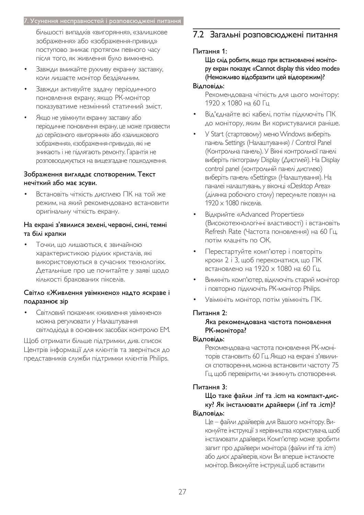#### 7. Усунення несправностей і розповсюджені питання

більшості випадків «вигоряння», «залишкове зображення» або «зображення-привид» поступово зникає протягом певного часу після того, як живлення було вимкнено.

- Завжди вмикайте рухливу екранну заставку, коли лишаєте монітор бездіяльним.
- Завжди активуйте задачу періодичного поновлення екрану, якщо РК-монітор показуватиме незмінний статичний зміст.
- Якщо не увімкнути екранну заставку або періодичне поновлення екрану, це може призвести до серйозного «вигоряння» або «залишкового зображення», «зображення-привида», які не зникають і не підлягають ремонту. Гарантія не розповсюджується на вищезгадане пошкодження.

#### Зображення виглядає спотвореним. Текст нечіткий або має зсуви.

Встановіть чіткість дисплею ПК на той же режим, на який рекомендовано встановити оригінальну чіткість екрану.

#### На екрані з'явилися зелені, червоні, сині, темні та білі крапки

Точки, що лишаються, є звичайною Характеристикою рідких кристалів, які використовуються в сучасних технологіях. Детальніше про це почитайте у заяві щодо кількості бракованих пікселів.

#### Світло «Живлення увімкнено» надто яскраве і подразнює зір

Світловий покажчик «живлення увімкнено» можна регулювати у Налаштування світлодіода в основних засобах контролю ЕМ.

Щоб отримати більше підтримки, див. список Центрів інформації для клієнтів та зверніться до представників служби підтримки клієнтів Philips.

# 7.2 Загальні розповсюджені питання

#### Питання 1:

Що слід робити, якщо при встановленні монітору екран показує «Cannot display this video mode» (Неможливо відобразити цей відеорежим)?

#### Відповідь:

Рекомендована чіткість для цього монітору:  $1920 \times 1080$  на 60 Гц

- Від'єднайте всі кабелі, потім підключіть ПК до монітору, яким Ви користувалися раніше.
- У Start (стартовому) меню Windows виберіть панель Settings (Налаштування) / Control Panel (Контрольна панель). У Вікні контрольної панелі виберіть піктограму Display (Дисплей). На Display control panel (контрольній панелі дисплею) виберіть панель «Settings» (Налаштування). На паналеі налаштувань, у віконці «Desktop Area» (ділянка робочого столу) пересуньте повзун на  $1920 \times 1080$  пікселів.
- Відкрийте «Advanced Properties» (Високотехнологічні властивості) і встановіть Refresh Rate (Частота поновлення) на 60 Гц. потім клацніть по ОК.
- Перестартуйте комп'ютер і повторіть кроки 2 і 3, щоб переконатися, що ПК встановлено на 1920  $\times$  1080 на 60 Гц.
- Вимкніть комп'ютер, відключіть старий монітор i повторно підключіть PK-монітор Philips.
- Увімкніть монітор, потім увімкніть ПК.

#### Питання 2:

#### Яка рекомендована частота поновлення РК-монітора?

#### Відповідь:

Рекомендована частота поновлення РК-моніторів становить 60 Гц. Якщо на екрані з'явилися спотворення, можна встановити частоту 75 Гц, щоб перевірити, чи зникнуть спотворення.

#### Питання 3:

Що таке файли .inf та .icm на компакт-диску? Як інсталювати драйвери (.inf та .icm)? Відповідь:

Це - файли драйверів для Вашого монітору. Виконуйте інструкції з керівництва користувача, щоб інсталювати драйвери. Комп'ютер може зробити запит про драйвери монітора (файли inf та .icm) або диск драйверів, коли Ви вперше інсталюєте монітор. Виконуйте інструкції, щоб вставити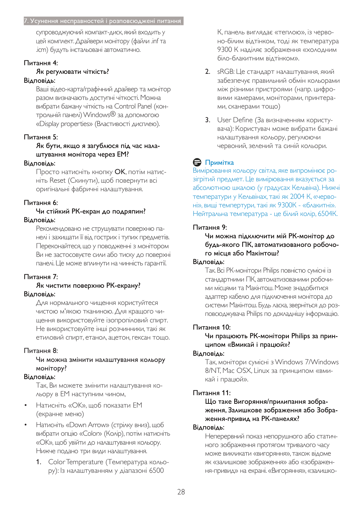#### 7. Усунення несправностей і розповсюджені питання

супроводжуючий компакт-диск, який входить у цей комплект. Драйвери монітору (файли .inf та .icm) будуть інстальовані автоматично.

#### Питання 4:

#### Як регулювати чіткість?

#### Відповідь:

Ваші відео-карта/графічний драйвер та монітор разом визначають доступні чіткості. Можна вибрати бажану чіткість на Control Panel (контрольній панелі) Windows® за допомогою «Display properties» (Властивості дисплею).

#### Питання 5:

#### Як бути, якщо я загублюся під час налаштування монітора через ЕМ?

#### Відповідь:

Просто натисніть кнопку ОК, потім натисніть Reset (Скинути), щоб повернути всі оригінальні фабричні налаштування.

#### Питання 6:

#### Чи стійкий РК-екран до подряпин? Відповідь:

Рекомендовано не струшувати поверхню панелі і захищати її від гострих і тупих предметів. Переконайтеся, що у поводженні з монітором Ви не застосовуєте сили або тиску до поверхні панелі. Це може вплинути на чинність гарантії.

#### Питання 7:

#### Як чистити поверхню РК-екрану? Відповідь:

Для нормального чищення користуйтеся чистою м'якою тканиною. Для кращого чищення використовуйте ізопропіловий спирт. Не використовуйте інші розчинники, такі як етиловий спирт, етанол, ацетон, гексан тощо.

#### Питання 8:

#### Чи можна змінити налаштування кольору монітору?

#### Відповідь:

Так, Ви можете змінити налаштування кольору в ЕМ наступним чином,

- Натисніть «ОК», щоб показати ЕМ (екранне меню)
- Натисніть «Down Arrow» (стрілку вниз), щоб вибрати опцію «Color» (Колір), потім натисніть «ОК», щоб увійти до налаштування кольору. Нижче подано три види налаштування.
	- 1. Color Temperature (Температура кольору): Із налаштуванням у діапазоні 6500

К, панель виглядає «теплою», із червоно-білим відтінком, тоді як температура 9300 К наділяє зображення «холодним біло-блакитним відтінком».

- 2. sRGB: Це стандарт налаштування, який забезпечує правильний обмін кольорами між різними пристроями (напр. цифровими камерами, моніторами, принтерами, сканерами тощо)
- 3. User Define (За визначенням користувача): Користувач може вибрати бажані НАЛАШТУВАННЯ КОЛЬОРУ, РЕГУЛЮЮЧИ червоний, зелений та синій кольори.

## **G** Примітка

Вимірювання кольору світла, яке випромінює розігрітий предмет. Це вимірювання вказується за абсолютною шкалою (у градусах Кельвіна). Нижчі температури у Кельвінах, такі як 2004 К, «червоні», вищі темпертури, такі як 9300К - «блакитні». Нейтральна температура - це білий колір, 6504К.

#### Питання 9:

#### Чи можна підключити мій РК-монітор до будь-якого ПК, автоматизованого робочого місця або Макінтош?

#### Відповідь:

Так. Всі РК-монітори Philips повністю сумісні із стандартними ПК, автоматизованими робочими місцями та Макінтош. Може знадобитися адаптер кабелю для підключення монітора до системи Макінтош. Будь ласка, зверніться до розповсюджувача Philips по докладнішу інформацію.

#### Питання 10:

Чи працюють PK-монітори Philips за принципом «Вмикай і працюй»?

#### Відповідь:

Так, монітори сумісні з Windows 7/Windows 8/NT, Mac OSX, Linux за принципом «вмикай і працюй».

#### $Питання 11:$

Що таке Вигоряння/прилипання зображення, Залишкове зображення або Зображення-привид на РК-панелях?

#### Відповідь:

Неперервний показ непорушного або статичного зображення протягом тривалого часу може викликати «вигоряння», також відоме як «залишкове зображення» або «зображення-привид» на екрані. «Вигоряння», «залишко-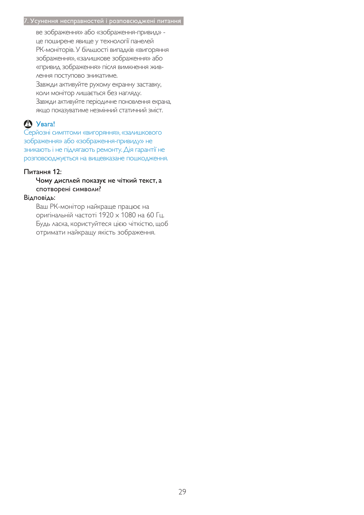#### 7. Усунення несправностей і розповсюджені питання

ве зображення» або «зображення-привид» це поширене явище у технології панелей РК-моніторів. У більшості випадків «вигоряння зображення», «залишкове зображення» або «привид зображення» після вимкнення живлення поступово зникатиме.

Завжди активуйте рухому екранну заставку, коли монітор лишається без нагляду. Завжди активуйте періодичне поновлення екрана, якщо показуватиме незмінний статичний зміст.

## $\mathbf{\Omega}$  **Y** Bara!

Серйозні симптоми «вигоряння», «залишкового зображення» або «зображення-привиду» не зникають і не підлягають ремонту. Дія гарантії не розповсюджується на вищевказане пошкодження.

#### Питання 12:

#### Чому дисплей показує не чіткий текст, а спотворені символи?

#### Відповідь:

Ваш РК-монітор найкраще працює на оригінальній частоті 1920 х 1080 на 60 Гц. Будь ласка, користуйтеся цією чіткістю, щоб отримати найкращу якість зображення.